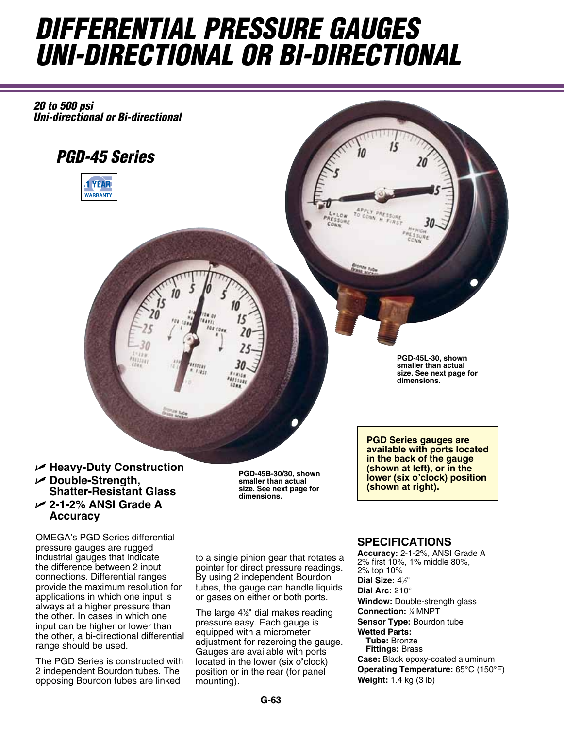## *DIFFERENTIAL PRESSURE GAUGES UNI-DIRECTIONAL OR BI-DIRECTIONAL*

*20 to 500 psi Uni-directional or Bi-directional*



 $1411$ 

 $781111$ 

**PGD-45L-30, shown smaller than actual size. See next page for dimensions.**

**PGD Series gauges are available with ports located in the back of the gauge (shown at left), or in the lower (six o'clock) position (shown at right).**

U **Heavy-Duty Construction** U **Double-Strength, Shatter-Resistant Glass** U **2-1-2% ANSI Grade A Accuracy**

OMEGA's PGD Series differential pressure gauges are rugged industrial gauges that indicate the difference between 2 input connections. Differential ranges provide the maximum resolution for applications in which one input is always at a higher pressure than the other. In cases in which one input can be higher or lower than the other, a bi-directional differential range should be used.

The PGD Series is constructed with 2 independent Bourdon tubes. The opposing Bourdon tubes are linked

**PGD-45B-30/30, shown smaller than actual size. See next page for dimensions.**

to a single pinion gear that rotates a pointer for direct pressure readings. By using 2 independent Bourdon tubes, the gauge can handle liquids or gases on either or both ports.

The large 41 ⁄2" dial makes reading pressure easy. Each gauge is equipped with a micrometer adjustment for rezeroing the gauge. Gauges are available with ports located in the lower (six o**'**clock) position or in the rear (for panel mounting).

## **SPECIFICATIONS**

**Accuracy:** 2-1-2%, ANSI Grade A 2% first 10%, 1% middle 80%, 2% top 10% Dial Size: 4<sup>1/2"</sup> **Dial Arc:** 210° **Window:** Double-strength glass **Connection:** <sup>1</sup> ⁄4 MNPT **Sensor Type:** Bourdon tube **Wetted Parts: Tube:** Bronze **Fittings:** Brass **Case:** Black epoxy-coated aluminum **Operating Temperature:** 65°C (150°F) **Weight:** 1.4 kg (3 lb)